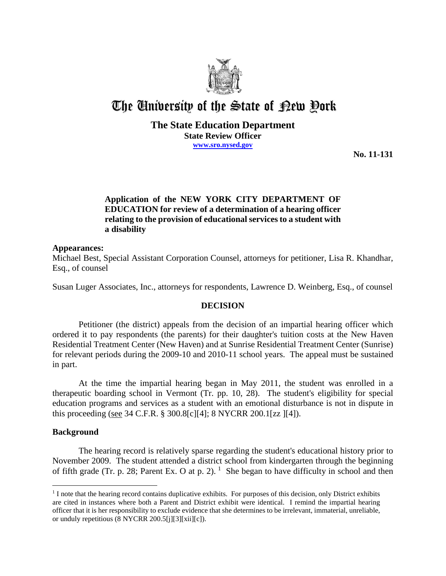

# The University of the State of Pew Pork

## **The State Education Department State Review Officer www.sro.nysed.gov**

**No. 11-131**

# **Application of the NEW YORK CITY DEPARTMENT OF EDUCATION for review of a determination of a hearing officer relating to the provision of educational services to a student with a disability**

## **Appearances:**

Michael Best, Special Assistant Corporation Counsel, attorneys for petitioner, Lisa R. Khandhar, Esq., of counsel

Susan Luger Associates, Inc., attorneys for respondents, Lawrence D. Weinberg, Esq., of counsel

## **DECISION**

Petitioner (the district) appeals from the decision of an impartial hearing officer which ordered it to pay respondents (the parents) for their daughter's tuition costs at the New Haven Residential Treatment Center (New Haven) and at Sunrise Residential Treatment Center (Sunrise) for relevant periods during the 2009-10 and 2010-11 school years. The appeal must be sustained in part.

At the time the impartial hearing began in May 2011, the student was enrolled in a therapeutic boarding school in Vermont (Tr. pp. 10, 28). The student's eligibility for special education programs and services as a student with an emotional disturbance is not in dispute in this proceeding (see 34 C.F.R. § 300.8[c][4]; 8 NYCRR 200.1[zz ][4]).

## **Background**

 $\overline{a}$ 

The hearing record is relatively sparse regarding the student's educational history prior to November 2009. The student attended a district school from kindergarten through the beginning of fifth grade (Tr. p. 28; Parent Ex. O at p. 2). <sup>1</sup> She began to have difficulty in school and then

<sup>&</sup>lt;sup>1</sup> I note that the hearing record contains duplicative exhibits. For purposes of this decision, only District exhibits are cited in instances where both a Parent and District exhibit were identical. I remind the impartial hearing officer that it is her responsibility to exclude evidence that she determines to be irrelevant, immaterial, unreliable, or unduly repetitious (8 NYCRR 200.5[j][3][xii][c]).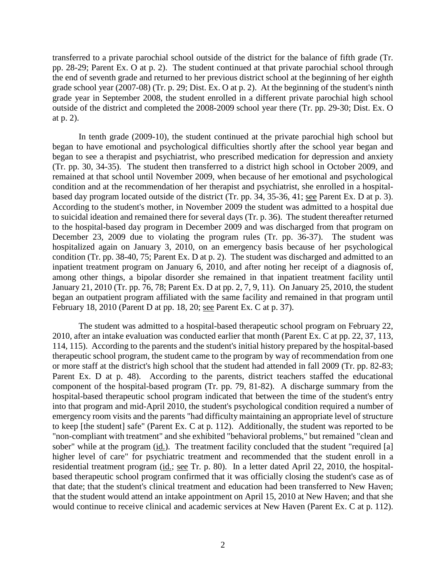transferred to a private parochial school outside of the district for the balance of fifth grade (Tr. pp. 28-29; Parent Ex. O at p. 2). The student continued at that private parochial school through the end of seventh grade and returned to her previous district school at the beginning of her eighth grade school year (2007-08) (Tr. p. 29; Dist. Ex. O at p. 2). At the beginning of the student's ninth grade year in September 2008, the student enrolled in a different private parochial high school outside of the district and completed the 2008-2009 school year there (Tr. pp. 29-30; Dist. Ex. O at p. 2).

In tenth grade (2009-10), the student continued at the private parochial high school but began to have emotional and psychological difficulties shortly after the school year began and began to see a therapist and psychiatrist, who prescribed medication for depression and anxiety (Tr. pp. 30, 34-35). The student then transferred to a district high school in October 2009, and remained at that school until November 2009, when because of her emotional and psychological condition and at the recommendation of her therapist and psychiatrist, she enrolled in a hospitalbased day program located outside of the district (Tr. pp. 34, 35-36, 41; see Parent Ex. D at p. 3). According to the student's mother, in November 2009 the student was admitted to a hospital due to suicidal ideation and remained there for several days (Tr. p. 36). The student thereafter returned to the hospital-based day program in December 2009 and was discharged from that program on December 23, 2009 due to violating the program rules (Tr. pp. 36-37). The student was hospitalized again on January 3, 2010, on an emergency basis because of her psychological condition (Tr. pp. 38-40, 75; Parent Ex. D at p. 2). The student was discharged and admitted to an inpatient treatment program on January 6, 2010, and after noting her receipt of a diagnosis of, among other things, a bipolar disorder she remained in that inpatient treatment facility until January 21, 2010 (Tr. pp. 76, 78; Parent Ex. D at pp. 2, 7, 9, 11). On January 25, 2010, the student began an outpatient program affiliated with the same facility and remained in that program until February 18, 2010 (Parent D at pp. 18, 20; see Parent Ex. C at p. 37).

The student was admitted to a hospital-based therapeutic school program on February 22, 2010, after an intake evaluation was conducted earlier that month (Parent Ex. C at pp. 22, 37, 113, 114, 115). According to the parents and the student's initial history prepared by the hospital-based therapeutic school program, the student came to the program by way of recommendation from one or more staff at the district's high school that the student had attended in fall 2009 (Tr. pp. 82-83; Parent Ex. D at p. 48). According to the parents, district teachers staffed the educational component of the hospital-based program (Tr. pp. 79, 81-82). A discharge summary from the hospital-based therapeutic school program indicated that between the time of the student's entry into that program and mid-April 2010, the student's psychological condition required a number of emergency room visits and the parents "had difficulty maintaining an appropriate level of structure to keep [the student] safe" (Parent Ex. C at p. 112). Additionally, the student was reported to be "non-compliant with treatment" and she exhibited "behavioral problems," but remained "clean and sober" while at the program (id.). The treatment facility concluded that the student "required [a] higher level of care" for psychiatric treatment and recommended that the student enroll in a residential treatment program (id.; see Tr. p. 80). In a letter dated April 22, 2010, the hospitalbased therapeutic school program confirmed that it was officially closing the student's case as of that date; that the student's clinical treatment and education had been transferred to New Haven; that the student would attend an intake appointment on April 15, 2010 at New Haven; and that she would continue to receive clinical and academic services at New Haven (Parent Ex. C at p. 112).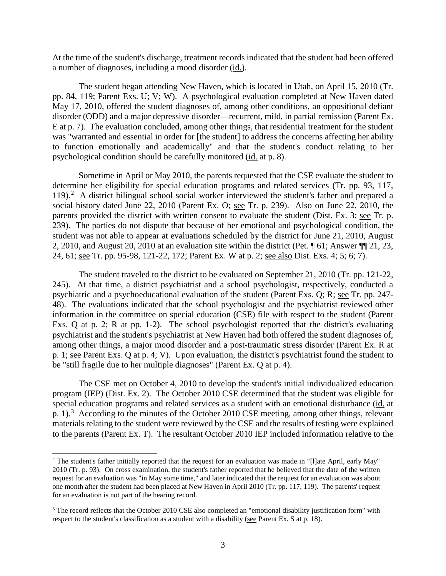At the time of the student's discharge, treatment records indicated that the student had been offered a number of diagnoses, including a mood disorder (id.).

The student began attending New Haven, which is located in Utah, on April 15, 2010 (Tr. pp. 84, 119; Parent Exs. U; V; W). A psychological evaluation completed at New Haven dated May 17, 2010, offered the student diagnoses of, among other conditions, an oppositional defiant disorder (ODD) and a major depressive disorder—recurrent, mild, in partial remission (Parent Ex. E at p. 7). The evaluation concluded, among other things, that residential treatment for the student was "warranted and essential in order for [the student] to address the concerns affecting her ability to function emotionally and academically" and that the student's conduct relating to her psychological condition should be carefully monitored (id. at p. 8).

Sometime in April or May 2010, the parents requested that the CSE evaluate the student to determine her eligibility for special education programs and related services (Tr. pp. 93, 117, 119).<sup>2</sup> A district bilingual school social worker interviewed the student's father and prepared a social history dated June 22, 2010 (Parent Ex. O; see Tr. p. 239). Also on June 22, 2010, the parents provided the district with written consent to evaluate the student (Dist. Ex. 3; see Tr. p. 239). The parties do not dispute that because of her emotional and psychological condition, the student was not able to appear at evaluations scheduled by the district for June 21, 2010, August 2, 2010, and August 20, 2010 at an evaluation site within the district (Pet. ¶ 61; Answer ¶¶ 21, 23, 24, 61; <u>see</u> Tr. pp. 95-98, 121-22, 172; Parent Ex. W at p. 2; <u>see also</u> Dist. Exs. 4; 5; 6; 7).

The student traveled to the district to be evaluated on September 21, 2010 (Tr. pp. 121-22, 245). At that time, a district psychiatrist and a school psychologist, respectively, conducted a psychiatric and a psychoeducational evaluation of the student (Parent Exs. Q; R; see Tr. pp. 247- 48). The evaluations indicated that the school psychologist and the psychiatrist reviewed other information in the committee on special education (CSE) file with respect to the student (Parent Exs. Q at p. 2; R at pp. 1-2). The school psychologist reported that the district's evaluating psychiatrist and the student's psychiatrist at New Haven had both offered the student diagnoses of, among other things, a major mood disorder and a post-traumatic stress disorder (Parent Ex. R at p. 1; see Parent Exs. Q at p. 4; V). Upon evaluation, the district's psychiatrist found the student to be "still fragile due to her multiple diagnoses" (Parent Ex. Q at p. 4).

The CSE met on October 4, 2010 to develop the student's initial individualized education program (IEP) (Dist. Ex. 2). The October 2010 CSE determined that the student was eligible for special education programs and related services as a student with an emotional disturbance (id. at p. 1).<sup>3</sup> According to the minutes of the October 2010 CSE meeting, among other things, relevant materials relating to the student were reviewed by the CSE and the results of testing were explained to the parents (Parent Ex. T). The resultant October 2010 IEP included information relative to the

 $\overline{a}$ 

<sup>&</sup>lt;sup>2</sup> The student's father initially reported that the request for an evaluation was made in "[l]ate April, early May" 2010 (Tr. p. 93). On cross examination, the student's father reported that he believed that the date of the written request for an evaluation was "in May some time," and later indicated that the request for an evaluation was about one month after the student had been placed at New Haven in April 2010 (Tr. pp. 117, 119). The parents' request for an evaluation is not part of the hearing record.

<sup>&</sup>lt;sup>3</sup> The record reflects that the October 2010 CSE also completed an "emotional disability justification form" with respect to the student's classification as a student with a disability (see Parent Ex. S at p. 18).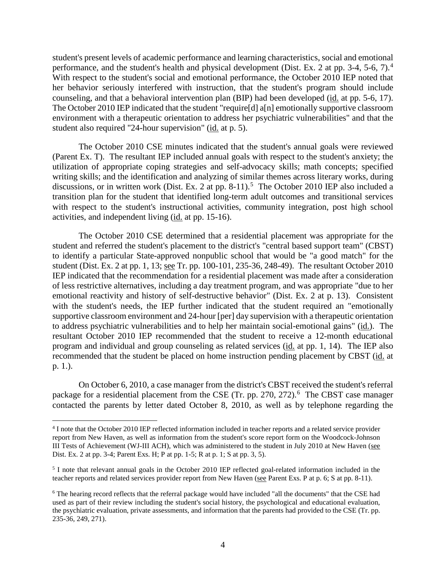student's present levels of academic performance and learning characteristics, social and emotional performance, and the student's health and physical development (Dist. Ex. 2 at pp. 3-4, 5-6, 7).<sup>4</sup> With respect to the student's social and emotional performance, the October 2010 IEP noted that her behavior seriously interfered with instruction, that the student's program should include counseling, and that a behavioral intervention plan (BIP) had been developed (id. at pp. 5-6, 17). The October 2010 IEP indicated that the student "require[d] a[n] emotionally supportive classroom environment with a therapeutic orientation to address her psychiatric vulnerabilities" and that the student also required "24-hour supervision" (id. at p. 5).

The October 2010 CSE minutes indicated that the student's annual goals were reviewed (Parent Ex. T). The resultant IEP included annual goals with respect to the student's anxiety; the utilization of appropriate coping strategies and self-advocacy skills; math concepts; specified writing skills; and the identification and analyzing of similar themes across literary works, during discussions, or in written work (Dist. Ex. 2 at pp. 8-11).<sup>5</sup> The October 2010 IEP also included a transition plan for the student that identified long-term adult outcomes and transitional services with respect to the student's instructional activities, community integration, post high school activities, and independent living (id. at pp. 15-16).

The October 2010 CSE determined that a residential placement was appropriate for the student and referred the student's placement to the district's "central based support team" (CBST) to identify a particular State-approved nonpublic school that would be "a good match" for the student (Dist. Ex. 2 at pp. 1, 13; see Tr. pp. 100-101, 235-36, 248-49). The resultant October 2010 IEP indicated that the recommendation for a residential placement was made after a consideration of less restrictive alternatives, including a day treatment program, and was appropriate "due to her emotional reactivity and history of self-destructive behavior" (Dist. Ex. 2 at p. 13). Consistent with the student's needs, the IEP further indicated that the student required an "emotionally supportive classroom environment and 24-hour [per] day supervision with a therapeutic orientation to address psychiatric vulnerabilities and to help her maintain social-emotional gains" (id.). The resultant October 2010 IEP recommended that the student to receive a 12-month educational program and individual and group counseling as related services (id. at pp. 1, 14). The IEP also recommended that the student be placed on home instruction pending placement by CBST (id. at p. 1.).

On October 6, 2010, a case manager from the district's CBST received the student's referral package for a residential placement from the CSE (Tr. pp. 270, 272).<sup>6</sup> The CBST case manager contacted the parents by letter dated October 8, 2010, as well as by telephone regarding the

 $\overline{a}$ 

<sup>4</sup> I note that the October 2010 IEP reflected information included in teacher reports and a related service provider report from New Haven, as well as information from the student's score report form on the Woodcock-Johnson III Tests of Achievement (WJ-III ACH), which was administered to the student in July 2010 at New Haven (see Dist. Ex. 2 at pp. 3-4; Parent Exs. H; P at pp. 1-5; R at p. 1; S at pp. 3, 5).

<sup>&</sup>lt;sup>5</sup> I note that relevant annual goals in the October 2010 IEP reflected goal-related information included in the teacher reports and related services provider report from New Haven (see Parent Exs. P at p. 6; S at pp. 8-11).

<sup>6</sup> The hearing record reflects that the referral package would have included "all the documents" that the CSE had used as part of their review including the student's social history, the psychological and educational evaluation, the psychiatric evaluation, private assessments, and information that the parents had provided to the CSE (Tr. pp. 235-36, 249, 271).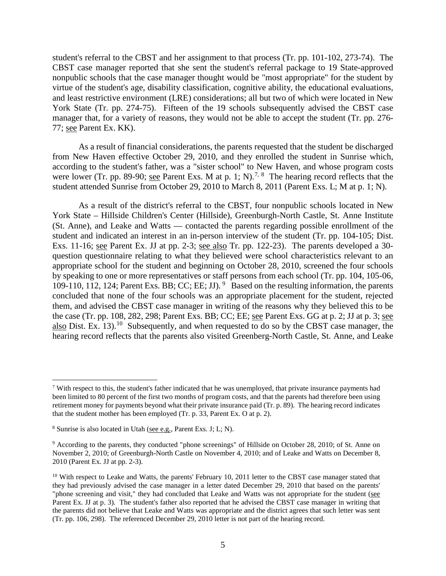student's referral to the CBST and her assignment to that process (Tr. pp. 101-102, 273-74). The CBST case manager reported that she sent the student's referral package to 19 State-approved nonpublic schools that the case manager thought would be "most appropriate" for the student by virtue of the student's age, disability classification, cognitive ability, the educational evaluations, and least restrictive environment (LRE) considerations; all but two of which were located in New York State (Tr. pp. 274-75). Fifteen of the 19 schools subsequently advised the CBST case manager that, for a variety of reasons, they would not be able to accept the student (Tr. pp. 276- 77; see Parent Ex. KK).

As a result of financial considerations, the parents requested that the student be discharged from New Haven effective October 29, 2010, and they enrolled the student in Sunrise which, according to the student's father, was a "sister school" to New Haven, and whose program costs were lower (Tr. pp. 89-90; <u>see</u> Parent Exs. M at p. 1; N).<sup>7, 8</sup> The hearing record reflects that the student attended Sunrise from October 29, 2010 to March 8, 2011 (Parent Exs. L; M at p. 1; N).

As a result of the district's referral to the CBST, four nonpublic schools located in New York State – Hillside Children's Center (Hillside), Greenburgh-North Castle, St. Anne Institute (St. Anne), and Leake and Watts — contacted the parents regarding possible enrollment of the student and indicated an interest in an in-person interview of the student (Tr. pp. 104-105; Dist. Exs. 11-16; see Parent Ex. JJ at pp. 2-3; see also Tr. pp. 122-23). The parents developed a 30 question questionnaire relating to what they believed were school characteristics relevant to an appropriate school for the student and beginning on October 28, 2010, screened the four schools by speaking to one or more representatives or staff persons from each school (Tr. pp. 104, 105-06, 109-110, 112, 124; Parent Exs. BB; CC; EE; JJ). 9 Based on the resulting information, the parents concluded that none of the four schools was an appropriate placement for the student, rejected them, and advised the CBST case manager in writing of the reasons why they believed this to be the case (Tr. pp. 108, 282, 298; Parent Exs. BB; CC; EE; see Parent Exs. GG at p. 2; JJ at p. 3; see also Dist. Ex. 13).<sup>10</sup> Subsequently, and when requested to do so by the CBST case manager, the hearing record reflects that the parents also visited Greenberg-North Castle, St. Anne, and Leake

 $\overline{a}$ 

 $\frac{7}{10}$  With respect to this, the student's father indicated that he was unemployed, that private insurance payments had been limited to 80 percent of the first two months of program costs, and that the parents had therefore been using retirement money for payments beyond what their private insurance paid (Tr. p. 89). The hearing record indicates that the student mother has been employed (Tr. p. 33, Parent Ex. O at p. 2).

<sup>8</sup> Sunrise is also located in Utah (see e.g., Parent Exs. J; L; N).

<sup>9</sup> According to the parents, they conducted "phone screenings" of Hillside on October 28, 2010; of St. Anne on November 2, 2010; of Greenburgh-North Castle on November 4, 2010; and of Leake and Watts on December 8, 2010 (Parent Ex. JJ at pp. 2-3).

<sup>&</sup>lt;sup>10</sup> With respect to Leake and Watts, the parents' February 10, 2011 letter to the CBST case manager stated that they had previously advised the case manager in a letter dated December 29, 2010 that based on the parents' "phone screening and visit," they had concluded that Leake and Watts was not appropriate for the student (see Parent Ex. JJ at p. 3). The student's father also reported that he advised the CBST case manager in writing that the parents did not believe that Leake and Watts was appropriate and the district agrees that such letter was sent (Tr. pp. 106, 298). The referenced December 29, 2010 letter is not part of the hearing record.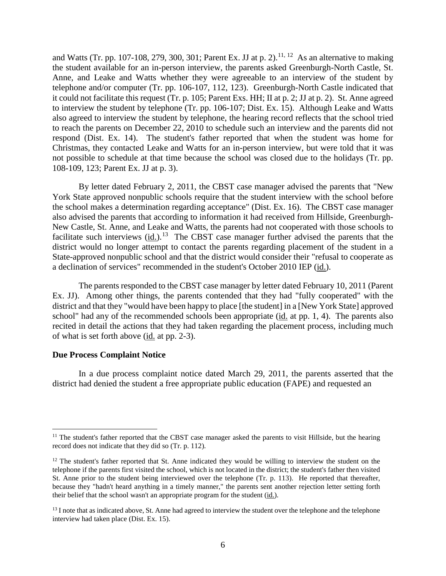and Watts (Tr. pp. 107-108, 279, 300, 301; Parent Ex. JJ at p. 2).<sup>11, 12</sup> As an alternative to making the student available for an in-person interview, the parents asked Greenburgh-North Castle, St. Anne, and Leake and Watts whether they were agreeable to an interview of the student by telephone and/or computer (Tr. pp. 106-107, 112, 123). Greenburgh-North Castle indicated that it could not facilitate this request (Tr. p. 105; Parent Exs. HH; II at p. 2; JJ at p. 2). St. Anne agreed to interview the student by telephone (Tr. pp. 106-107; Dist. Ex. 15). Although Leake and Watts also agreed to interview the student by telephone, the hearing record reflects that the school tried to reach the parents on December 22, 2010 to schedule such an interview and the parents did not respond (Dist. Ex. 14). The student's father reported that when the student was home for Christmas, they contacted Leake and Watts for an in-person interview, but were told that it was not possible to schedule at that time because the school was closed due to the holidays (Tr. pp. 108-109, 123; Parent Ex. JJ at p. 3).

By letter dated February 2, 2011, the CBST case manager advised the parents that "New York State approved nonpublic schools require that the student interview with the school before the school makes a determination regarding acceptance" (Dist. Ex. 16). The CBST case manager also advised the parents that according to information it had received from Hillside, Greenburgh-New Castle, St. Anne, and Leake and Watts, the parents had not cooperated with those schools to facilitate such interviews (id.).<sup>13</sup> The CBST case manager further advised the parents that the district would no longer attempt to contact the parents regarding placement of the student in a State-approved nonpublic school and that the district would consider their "refusal to cooperate as a declination of services" recommended in the student's October 2010 IEP (id.).

The parents responded to the CBST case manager by letter dated February 10, 2011 (Parent Ex. JJ). Among other things, the parents contended that they had "fully cooperated" with the district and that they "would have been happy to place [the student] in a [New York State] approved school" had any of the recommended schools been appropriate (id. at pp. 1, 4). The parents also recited in detail the actions that they had taken regarding the placement process, including much of what is set forth above (id. at pp. 2-3).

#### **Due Process Complaint Notice**

In a due process complaint notice dated March 29, 2011, the parents asserted that the district had denied the student a free appropriate public education (FAPE) and requested an

 $\overline{a}$  $11$  The student's father reported that the CBST case manager asked the parents to visit Hillside, but the hearing record does not indicate that they did so (Tr. p. 112).

 $12$  The student's father reported that St. Anne indicated they would be willing to interview the student on the telephone if the parents first visited the school, which is not located in the district; the student's father then visited St. Anne prior to the student being interviewed over the telephone (Tr. p. 113). He reported that thereafter, because they "hadn't heard anything in a timely manner," the parents sent another rejection letter setting forth their belief that the school wasn't an appropriate program for the student (id.).

 $<sup>13</sup>$  I note that as indicated above, St. Anne had agreed to interview the student over the telephone and the telephone</sup> interview had taken place (Dist. Ex. 15).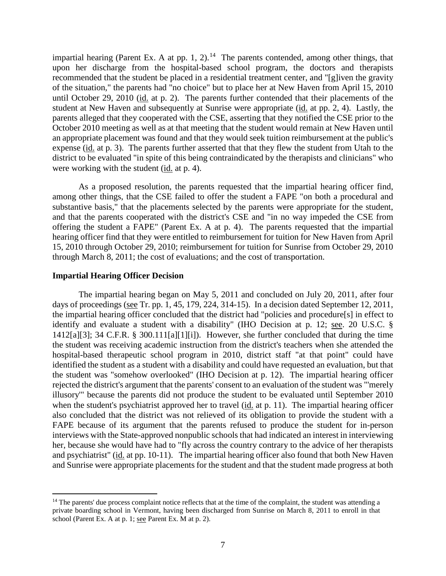impartial hearing (Parent Ex. A at pp. 1, 2).<sup>14</sup> The parents contended, among other things, that upon her discharge from the hospital-based school program, the doctors and therapists recommended that the student be placed in a residential treatment center, and "[g]iven the gravity of the situation," the parents had "no choice" but to place her at New Haven from April 15, 2010 until October 29, 2010 (id. at p. 2). The parents further contended that their placements of the student at New Haven and subsequently at Sunrise were appropriate (id. at pp. 2, 4). Lastly, the parents alleged that they cooperated with the CSE, asserting that they notified the CSE prior to the October 2010 meeting as well as at that meeting that the student would remain at New Haven until an appropriate placement was found and that they would seek tuition reimbursement at the public's expense (id. at p. 3). The parents further asserted that that they flew the student from Utah to the district to be evaluated "in spite of this being contraindicated by the therapists and clinicians" who were working with the student (id. at p. 4).

As a proposed resolution, the parents requested that the impartial hearing officer find, among other things, that the CSE failed to offer the student a FAPE "on both a procedural and substantive basis," that the placements selected by the parents were appropriate for the student, and that the parents cooperated with the district's CSE and "in no way impeded the CSE from offering the student a FAPE" (Parent Ex. A at p. 4). The parents requested that the impartial hearing officer find that they were entitled to reimbursement for tuition for New Haven from April 15, 2010 through October 29, 2010; reimbursement for tuition for Sunrise from October 29, 2010 through March 8, 2011; the cost of evaluations; and the cost of transportation.

## **Impartial Hearing Officer Decision**

 $\overline{a}$ 

The impartial hearing began on May 5, 2011 and concluded on July 20, 2011, after four days of proceedings (see Tr. pp. 1, 45, 179, 224, 314-15). In a decision dated September 12, 2011, the impartial hearing officer concluded that the district had "policies and procedure[s] in effect to identify and evaluate a student with a disability" (IHO Decision at p. 12; see. 20 U.S.C. § 1412[a][3]; 34 C.F.R. § 300.111[a][1][i]). However, she further concluded that during the time the student was receiving academic instruction from the district's teachers when she attended the hospital-based therapeutic school program in 2010, district staff "at that point" could have identified the student as a student with a disability and could have requested an evaluation, but that the student was "somehow overlooked" (IHO Decision at p. 12). The impartial hearing officer rejected the district's argument that the parents' consent to an evaluation of the student was "'merely illusory'" because the parents did not produce the student to be evaluated until September 2010 when the student's psychiatrist approved her to travel (id. at p. 11). The impartial hearing officer also concluded that the district was not relieved of its obligation to provide the student with a FAPE because of its argument that the parents refused to produce the student for in-person interviews with the State-approved nonpublic schools that had indicated an interest in interviewing her, because she would have had to "fly across the country contrary to the advice of her therapists and psychiatrist" (id. at pp. 10-11). The impartial hearing officer also found that both New Haven and Sunrise were appropriate placements for the student and that the student made progress at both

<sup>&</sup>lt;sup>14</sup> The parents' due process complaint notice reflects that at the time of the complaint, the student was attending a private boarding school in Vermont, having been discharged from Sunrise on March 8, 2011 to enroll in that school (Parent Ex. A at p. 1; see Parent Ex. M at p. 2).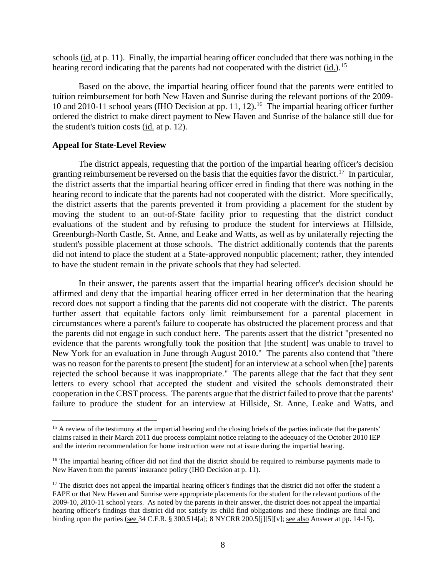schools (id. at p. 11). Finally, the impartial hearing officer concluded that there was nothing in the hearing record indicating that the parents had not cooperated with the district (id.).<sup>15</sup>

Based on the above, the impartial hearing officer found that the parents were entitled to tuition reimbursement for both New Haven and Sunrise during the relevant portions of the 2009- 10 and 2010-11 school years (IHO Decision at pp. 11, 12). 16 The impartial hearing officer further ordered the district to make direct payment to New Haven and Sunrise of the balance still due for the student's tuition costs (id. at p. 12).

## **Appeal for State-Level Review**

The district appeals, requesting that the portion of the impartial hearing officer's decision granting reimbursement be reversed on the basis that the equities favor the district.<sup>17</sup> In particular, the district asserts that the impartial hearing officer erred in finding that there was nothing in the hearing record to indicate that the parents had not cooperated with the district. More specifically, the district asserts that the parents prevented it from providing a placement for the student by moving the student to an out-of-State facility prior to requesting that the district conduct evaluations of the student and by refusing to produce the student for interviews at Hillside, Greenburgh-North Castle, St. Anne, and Leake and Watts, as well as by unilaterally rejecting the student's possible placement at those schools. The district additionally contends that the parents did not intend to place the student at a State-approved nonpublic placement; rather, they intended to have the student remain in the private schools that they had selected.

In their answer, the parents assert that the impartial hearing officer's decision should be affirmed and deny that the impartial hearing officer erred in her determination that the hearing record does not support a finding that the parents did not cooperate with the district. The parents further assert that equitable factors only limit reimbursement for a parental placement in circumstances where a parent's failure to cooperate has obstructed the placement process and that the parents did not engage in such conduct here. The parents assert that the district "presented no evidence that the parents wrongfully took the position that [the student] was unable to travel to New York for an evaluation in June through August 2010." The parents also contend that "there was no reason for the parents to present [the student] for an interview at a school when [the] parents rejected the school because it was inappropriate." The parents allege that the fact that they sent letters to every school that accepted the student and visited the schools demonstrated their cooperation in the CBST process. The parents argue that the district failed to prove that the parents' failure to produce the student for an interview at Hillside, St. Anne, Leake and Watts, and

<sup>&</sup>lt;sup>15</sup> A review of the testimony at the impartial hearing and the closing briefs of the parties indicate that the parents' claims raised in their March 2011 due process complaint notice relating to the adequacy of the October 2010 IEP and the interim recommendation for home instruction were not at issue during the impartial hearing.

<sup>&</sup>lt;sup>16</sup> The impartial hearing officer did not find that the district should be required to reimburse payments made to New Haven from the parents' insurance policy (IHO Decision at p. 11).

 $17$  The district does not appeal the impartial hearing officer's findings that the district did not offer the student a FAPE or that New Haven and Sunrise were appropriate placements for the student for the relevant portions of the 2009-10, 2010-11 school years. As noted by the parents in their answer, the district does not appeal the impartial hearing officer's findings that district did not satisfy its child find obligations and these findings are final and binding upon the parties (see 34 C.F.R. § 300.514[a]; 8 NYCRR 200.5[j][5][v]; <u>see also</u> Answer at pp. 14-15).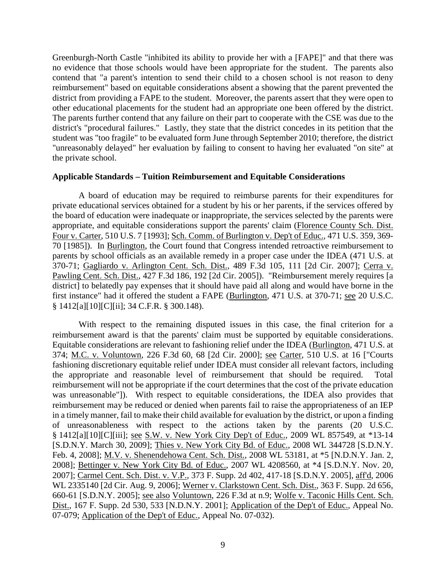Greenburgh-North Castle "inhibited its ability to provide her with a [FAPE]" and that there was no evidence that those schools would have been appropriate for the student. The parents also contend that "a parent's intention to send their child to a chosen school is not reason to deny reimbursement" based on equitable considerations absent a showing that the parent prevented the district from providing a FAPE to the student. Moreover, the parents assert that they were open to other educational placements for the student had an appropriate one been offered by the district. The parents further contend that any failure on their part to cooperate with the CSE was due to the district's "procedural failures." Lastly, they state that the district concedes in its petition that the student was "too fragile" to be evaluated form June through September 2010; therefore, the district "unreasonably delayed" her evaluation by failing to consent to having her evaluated "on site" at the private school.

## **Applicable Standards – Tuition Reimbursement and Equitable Considerations**

A board of education may be required to reimburse parents for their expenditures for private educational services obtained for a student by his or her parents, if the services offered by the board of education were inadequate or inappropriate, the services selected by the parents were appropriate, and equitable considerations support the parents' claim (Florence County Sch. Dist. Four v. Carter, 510 U.S. 7 [1993]; Sch. Comm. of Burlington v. Dep't of Educ., 471 U.S. 359, 369- 70 [1985]). In Burlington, the Court found that Congress intended retroactive reimbursement to parents by school officials as an available remedy in a proper case under the IDEA (471 U.S. at 370-71; Gagliardo v. Arlington Cent. Sch. Dist., 489 F.3d 105, 111 [2d Cir. 2007]; Cerra v. Pawling Cent. Sch. Dist., 427 F.3d 186, 192 [2d Cir. 2005]). "Reimbursement merely requires [a district] to belatedly pay expenses that it should have paid all along and would have borne in the first instance" had it offered the student a FAPE (Burlington, 471 U.S. at 370-71; see 20 U.S.C. § 1412[a][10][C][ii]; 34 C.F.R. § 300.148).

With respect to the remaining disputed issues in this case, the final criterion for a reimbursement award is that the parents' claim must be supported by equitable considerations. Equitable considerations are relevant to fashioning relief under the IDEA (Burlington, 471 U.S. at 374; M.C. v. Voluntown, 226 F.3d 60, 68 [2d Cir. 2000]; see Carter, 510 U.S. at 16 ["Courts fashioning discretionary equitable relief under IDEA must consider all relevant factors, including the appropriate and reasonable level of reimbursement that should be required. Total reimbursement will not be appropriate if the court determines that the cost of the private education was unreasonable"]). With respect to equitable considerations, the IDEA also provides that reimbursement may be reduced or denied when parents fail to raise the appropriateness of an IEP in a timely manner, fail to make their child available for evaluation by the district, or upon a finding of unreasonableness with respect to the actions taken by the parents (20 U.S.C. § 1412[a][10][C][iii]; see S.W. v. New York City Dep't of Educ., 2009 WL 857549, at \*13-14 [S.D.N.Y. March 30, 2009]; Thies v. New York City Bd. of Educ., 2008 WL 344728 [S.D.N.Y. Feb. 4, 2008]; M.V. v. Shenendehowa Cent. Sch. Dist., 2008 WL 53181, at \*5 [N.D.N.Y. Jan. 2, 2008]; Bettinger v. New York City Bd. of Educ., 2007 WL 4208560, at \*4 [S.D.N.Y. Nov. 20, 2007]; Carmel Cent. Sch. Dist. v. V.P., 373 F. Supp. 2d 402, 417-18 [S.D.N.Y. 2005], aff'd, 2006 WL 2335140 [2d Cir. Aug. 9, 2006]; Werner v. Clarkstown Cent. Sch. Dist., 363 F. Supp. 2d 656, 660-61 [S.D.N.Y. 2005]; see also Voluntown, 226 F.3d at n.9; Wolfe v. Taconic Hills Cent. Sch. Dist., 167 F. Supp. 2d 530, 533 [N.D.N.Y. 2001]; Application of the Dep't of Educ., Appeal No. 07-079; Application of the Dep't of Educ., Appeal No. 07-032).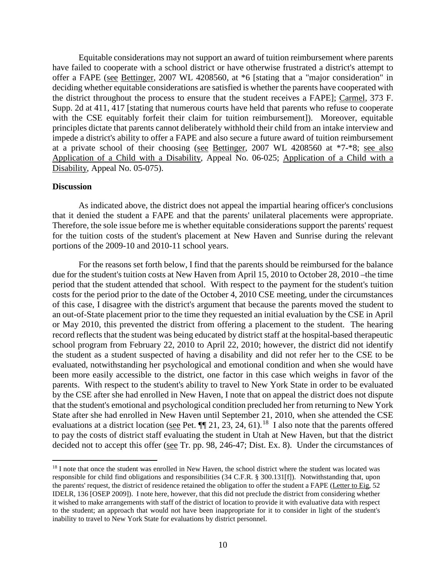Equitable considerations may not support an award of tuition reimbursement where parents have failed to cooperate with a school district or have otherwise frustrated a district's attempt to offer a FAPE (see Bettinger, 2007 WL 4208560, at \*6 [stating that a "major consideration" in deciding whether equitable considerations are satisfied is whether the parents have cooperated with the district throughout the process to ensure that the student receives a FAPE]; Carmel, 373 F. Supp. 2d at 411, 417 [stating that numerous courts have held that parents who refuse to cooperate with the CSE equitably forfeit their claim for tuition reimbursement]). Moreover, equitable principles dictate that parents cannot deliberately withhold their child from an intake interview and impede a district's ability to offer a FAPE and also secure a future award of tuition reimbursement at a private school of their choosing (see Bettinger, 2007 WL 4208560 at \*7-\*8; see also Application of a Child with a Disability, Appeal No. 06-025; Application of a Child with a Disability, Appeal No. 05-075).

#### **Discussion**

As indicated above, the district does not appeal the impartial hearing officer's conclusions that it denied the student a FAPE and that the parents' unilateral placements were appropriate. Therefore, the sole issue before me is whether equitable considerations support the parents' request for the tuition costs of the student's placement at New Haven and Sunrise during the relevant portions of the 2009-10 and 2010-11 school years.

For the reasons set forth below, I find that the parents should be reimbursed for the balance due for the student's tuition costs at New Haven from April 15, 2010 to October 28, 2010 –the time period that the student attended that school. With respect to the payment for the student's tuition costs for the period prior to the date of the October 4, 2010 CSE meeting, under the circumstances of this case, I disagree with the district's argument that because the parents moved the student to an out-of-State placement prior to the time they requested an initial evaluation by the CSE in April or May 2010, this prevented the district from offering a placement to the student. The hearing record reflects that the student was being educated by district staff at the hospital-based therapeutic school program from February 22, 2010 to April 22, 2010; however, the district did not identify the student as a student suspected of having a disability and did not refer her to the CSE to be evaluated, notwithstanding her psychological and emotional condition and when she would have been more easily accessible to the district, one factor in this case which weighs in favor of the parents. With respect to the student's ability to travel to New York State in order to be evaluated by the CSE after she had enrolled in New Haven, I note that on appeal the district does not dispute that the student's emotional and psychological condition precluded her from returning to New York State after she had enrolled in New Haven until September 21, 2010, when she attended the CSE evaluations at a district location (see Pet.  $\P\P$  21, 23, 24, 61).<sup>18</sup> I also note that the parents offered to pay the costs of district staff evaluating the student in Utah at New Haven, but that the district decided not to accept this offer (see Tr. pp. 98, 246-47; Dist. Ex. 8). Under the circumstances of

<sup>&</sup>lt;sup>18</sup> I note that once the student was enrolled in New Haven, the school district where the student was located was responsible for child find obligations and responsibilities (34 C.F.R. § 300.131[f]). Notwithstanding that, upon the parents' request, the district of residence retained the obligation to offer the student a FAPE (Letter to Eig, 52 IDELR, 136 [OSEP 2009]). I note here, however, that this did not preclude the district from considering whether it wished to make arrangements with staff of the district of location to provide it with evaluative data with respect to the student; an approach that would not have been inappropriate for it to consider in light of the student's inability to travel to New York State for evaluations by district personnel.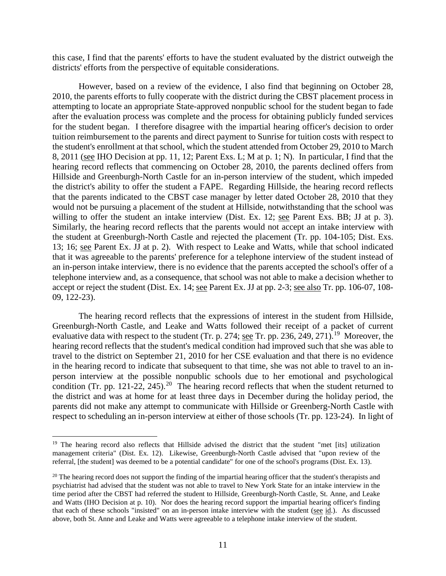this case, I find that the parents' efforts to have the student evaluated by the district outweigh the districts' efforts from the perspective of equitable considerations.

However, based on a review of the evidence, I also find that beginning on October 28, 2010, the parents efforts to fully cooperate with the district during the CBST placement process in attempting to locate an appropriate State-approved nonpublic school for the student began to fade after the evaluation process was complete and the process for obtaining publicly funded services for the student began. I therefore disagree with the impartial hearing officer's decision to order tuition reimbursement to the parents and direct payment to Sunrise for tuition costs with respect to the student's enrollment at that school, which the student attended from October 29, 2010 to March 8, 2011 (see IHO Decision at pp. 11, 12; Parent Exs. L; M at p. 1; N). In particular, I find that the hearing record reflects that commencing on October 28, 2010, the parents declined offers from Hillside and Greenburgh-North Castle for an in-person interview of the student, which impeded the district's ability to offer the student a FAPE. Regarding Hillside, the hearing record reflects that the parents indicated to the CBST case manager by letter dated October 28, 2010 that they would not be pursuing a placement of the student at Hillside, notwithstanding that the school was willing to offer the student an intake interview (Dist. Ex. 12; see Parent Exs. BB; JJ at p. 3). Similarly, the hearing record reflects that the parents would not accept an intake interview with the student at Greenburgh-North Castle and rejected the placement (Tr. pp. 104-105; Dist. Exs. 13; 16; see Parent Ex. JJ at p. 2). With respect to Leake and Watts, while that school indicated that it was agreeable to the parents' preference for a telephone interview of the student instead of an in-person intake interview, there is no evidence that the parents accepted the school's offer of a telephone interview and, as a consequence, that school was not able to make a decision whether to accept or reject the student (Dist. Ex. 14; see Parent Ex. JJ at pp. 2-3; see also Tr. pp. 106-07, 108- 09, 122-23).

The hearing record reflects that the expressions of interest in the student from Hillside, Greenburgh-North Castle, and Leake and Watts followed their receipt of a packet of current evaluative data with respect to the student (Tr. p. 274; see Tr. pp. 236, 249, 271).<sup>19</sup> Moreover, the hearing record reflects that the student's medical condition had improved such that she was able to travel to the district on September 21, 2010 for her CSE evaluation and that there is no evidence in the hearing record to indicate that subsequent to that time, she was not able to travel to an inperson interview at the possible nonpublic schools due to her emotional and psychological condition (Tr. pp. 121-22, 245).<sup>20</sup> The hearing record reflects that when the student returned to the district and was at home for at least three days in December during the holiday period, the parents did not make any attempt to communicate with Hillside or Greenberg-North Castle with respect to scheduling an in-person interview at either of those schools (Tr. pp. 123-24). In light of

<sup>&</sup>lt;sup>19</sup> The hearing record also reflects that Hillside advised the district that the student "met [its] utilization management criteria" (Dist. Ex. 12). Likewise, Greenburgh-North Castle advised that "upon review of the referral, [the student] was deemed to be a potential candidate" for one of the school's programs (Dist. Ex. 13).

 $20$  The hearing record does not support the finding of the impartial hearing officer that the student's therapists and psychiatrist had advised that the student was not able to travel to New York State for an intake interview in the time period after the CBST had referred the student to Hillside, Greenburgh-North Castle, St. Anne, and Leake and Watts (IHO Decision at p. 10). Nor does the hearing record support the impartial hearing officer's finding that each of these schools "insisted" on an in-person intake interview with the student ( $\frac{\text{see} \text{ id}}{\text{Set}}$ ). As discussed above, both St. Anne and Leake and Watts were agreeable to a telephone intake interview of the student.